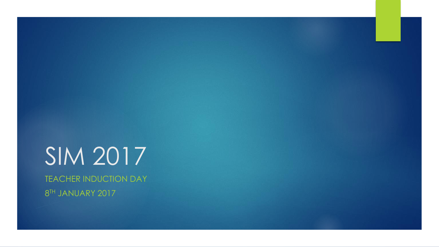## SIM 2017

TEACHER INDUCTION DAY 8 TH JANUARY 2017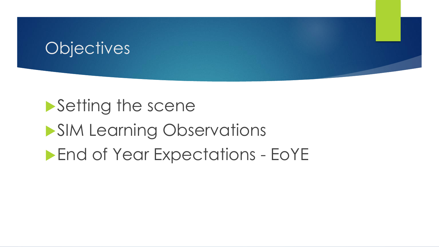#### **Objectives**

## Setting the scene **SIM Learning Observations End of Year Expectations - EoYE**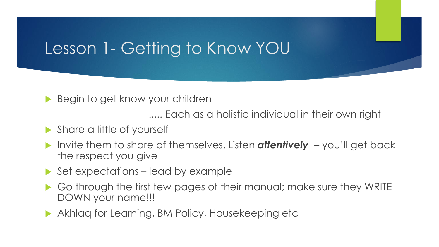### Lesson 1- Getting to Know YOU

▶ Begin to get know your children

..... Each as a holistic individual in their own right

- **Share a little of yourself**
- Invite them to share of themselves. Listen *attentively*  you'll get back the respect you give
- ▶ Set expectations lead by example
- Go through the first few pages of their manual; make sure they WRITE DOWN your name!!!
- Akhlaq for Learning, BM Policy, Housekeeping etc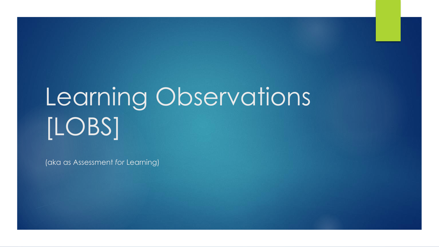# Learning Observations [LOBS]

(aka as Assessment *for* Learning)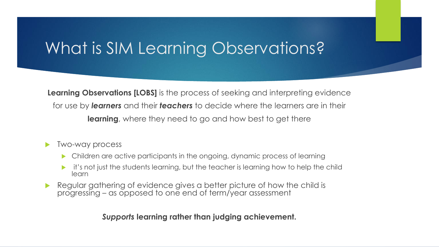### What is SIM Learning Observations?

**Learning Observations [LOBS]** is the process of seeking and interpreting evidence for use by *learners* and their *teachers* to decide where the learners are in their **learning**, where they need to go and how best to get there

#### **Two-way process**

- Children are active participants in the ongoing, dynamic process of learning
- it's not just the students learning, but the teacher is learning how to help the child learn
- Regular gathering of evidence gives a better picture of how the child is progressing – as opposed to one end of term/year assessment

#### *Supports* **learning rather than judging achievement.**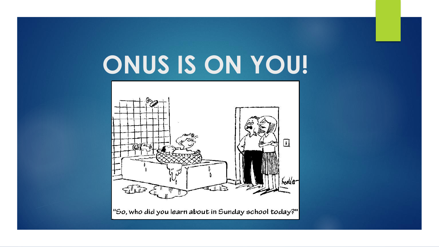## **ONUS IS ON YOU!**



"So, who did you learn about in Sunday school today?"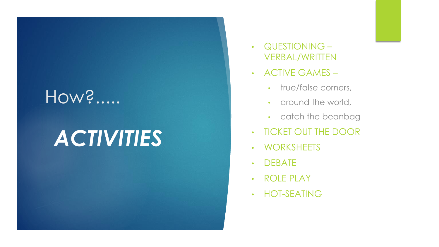### How?.....

## *ACTIVITIES*

- QUESTIONING VERBAL/WRITTEN
- ACTIVE GAMES
	- true/false corners,
	- around the world,
	- catch the beanbag
- TICKET OUT THE DOOR
- WORKSHEETS
- DEBATE
- ROLE PLAY
- HOT-SEATING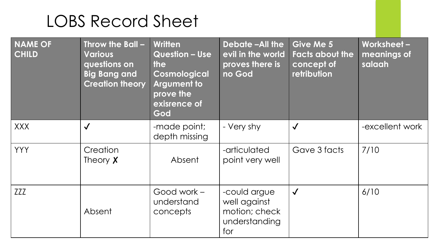### LOBS Record Sheet

| <b>NAME OF</b><br><b>CHILD</b> | Throw the Ball -<br><b>Various</b><br>questions on<br><b>Big Bang and</b><br><b>Creation theory</b> | Written<br><b>Question - Use</b><br><b>the</b><br><b>Cosmological</b><br><b>Argument to</b><br>prove the<br>exisrence of<br>God | Debate -All the<br>evil in the world<br>proves there is<br>no God     | <b>Give Me 5</b><br><b>Facts about the</b><br>concept of<br>retribution | Worksheet-<br>meanings of<br>salaah |
|--------------------------------|-----------------------------------------------------------------------------------------------------|---------------------------------------------------------------------------------------------------------------------------------|-----------------------------------------------------------------------|-------------------------------------------------------------------------|-------------------------------------|
| <b>XXX</b>                     | $\checkmark$                                                                                        | -made point;<br>depth missing                                                                                                   | - Very shy                                                            | $\checkmark$                                                            | -excellent work                     |
| <b>YYY</b>                     | Creation<br>Theory $\chi$                                                                           | Absent                                                                                                                          | -articulated<br>point very well                                       | Gave 3 facts                                                            | 7/10                                |
| <i>ZZZ</i>                     | Absent                                                                                              | Good work -<br>understand<br>concepts                                                                                           | -could argue<br>well against<br>motion; check<br>understanding<br>for | $\checkmark$                                                            | 6/10                                |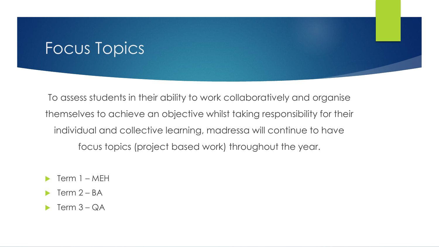#### Focus Topics

To assess students in their ability to work collaboratively and organise themselves to achieve an objective whilst taking responsibility for their individual and collective learning, madressa will continue to have focus topics (project based work) throughout the year.

- Term 1 MEH
- Term  $2 BA$
- Term 3 QA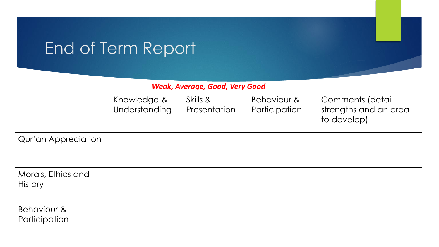#### End of Term Report

#### *Weak, Average, Good, Very Good*

|                                      | Knowledge &<br>Understanding | Skills &<br>Presentation | Behaviour &<br>Participation | Comments (detail<br>strengths and an area<br>to develop) |
|--------------------------------------|------------------------------|--------------------------|------------------------------|----------------------------------------------------------|
| Qur'an Appreciation                  |                              |                          |                              |                                                          |
| Morals, Ethics and<br><b>History</b> |                              |                          |                              |                                                          |
| Behaviour &<br>Participation         |                              |                          |                              |                                                          |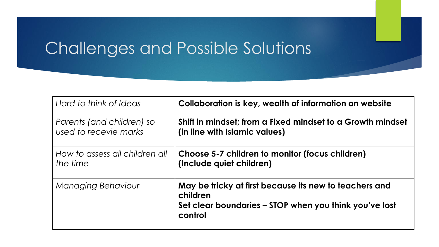### Challenges and Possible Solutions

| Hard to think of Ideas         | Collaboration is key, wealth of information on website                                                                                  |  |  |  |
|--------------------------------|-----------------------------------------------------------------------------------------------------------------------------------------|--|--|--|
| Parents (and children) so      | Shift in mindset; from a Fixed mindset to a Growth mindset                                                                              |  |  |  |
| used to recevie marks          | (in line with Islamic values)                                                                                                           |  |  |  |
| How to assess all children all | Choose 5-7 children to monitor (focus children)                                                                                         |  |  |  |
| the time                       | (Include quiet children)                                                                                                                |  |  |  |
| <b>Managing Behaviour</b>      | May be tricky at first because its new to teachers and<br>children<br>Set clear boundaries – STOP when you think you've lost<br>control |  |  |  |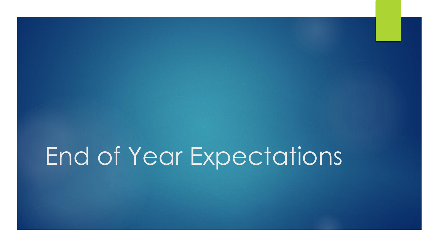## End of Year Expectations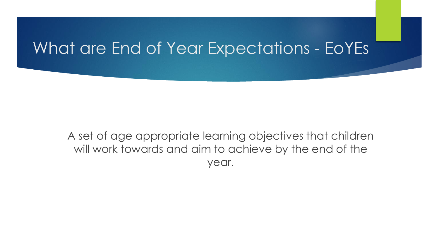#### What are End of Year Expectations - EoYEs

A set of age appropriate learning objectives that children will work towards and aim to achieve by the end of the year.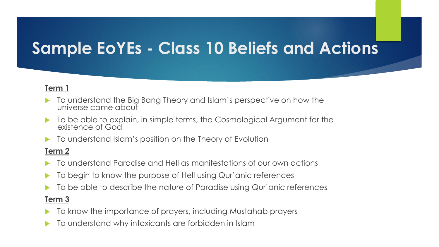### **Sample EoYEs - Class 10 Beliefs and Actions**

#### **Term 1**

- To understand the Big Bang Theory and Islam's perspective on how the universe came about
- To be able to explain, in simple terms, the Cosmological Argument for the existence of God
- To understand Islam's position on the Theory of Evolution

#### **Term 2**

- To understand Paradise and Hell as manifestations of our own actions
- To begin to know the purpose of Hell using Qur'anic references
- To be able to describe the nature of Paradise using Qur'anic references

#### **Term 3**

- To know the importance of prayers, including Mustahab prayers
- To understand why intoxicants are forbidden in Islam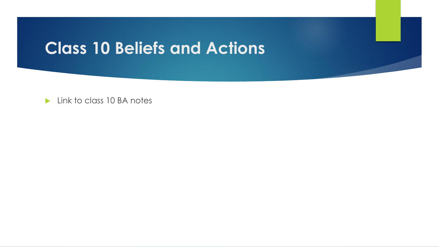#### **Class 10 Beliefs and Actions**

**Link to class 10 BA notes**